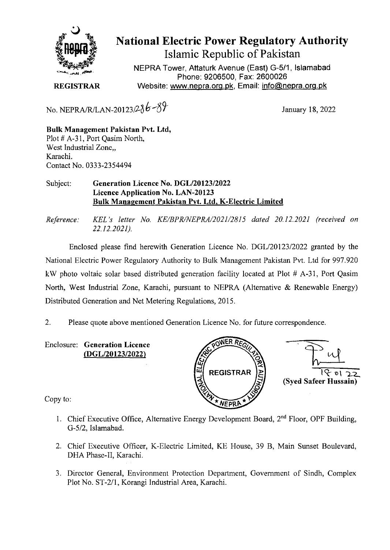

## National Electric Power Regulatory Authority

Islamic Republic of Pakistan

NEPRA Tower, Attaturk Avenue (East) G-5/1, Islamabad Phone: 9206500, Fax: 2600026 **REGISTRAR** Website: www.nepra.org.pk, Email: info@nepra.org.pk

No. NEPRA/R/LAN-20123/2 $86 - 87$  January 18, 2022

**Bulk Management Pakistan Pvt. Ltd,**  Plot # A-3 1, Port Qasim North, West Industrial Zone,, Karachi. Contact No. 0333-2354494

## Subject: **Generation Licence** No. DGL/20123/2022 Licence Application No. LAN**-20123 Bulk Management Pakistan Pvt. Ltd, K-Electric Limited**

*Reference: KEL 's letter No. KE/BPR/NEPRA/2021/2815 dated 20.12.2021 (received on 22.12.2021).* 

Enclosed please find herewith Generation Licence No. DGL/20123/2022 granted by the National Electric Power Regulatory Authority to Bulk Management Pakistan Pvt. Ltd for 997.920 kW photo voltaic solar based distributed generation facility located at Plot # A-31, Port Qasim North, West Industrial Zone, Karachi, pursuant to NEPRA (Alternative & Renewable Energy) Distributed Generation and Net Metering Regulations, 2015.

2. Please quote above mentioned Generation Licence No. for future correspondence.

**Enclosure: Generation Licence (DGL/20123/2022)** 



Copy to:

- 1. Chief Executive Office, Alternative Energy Development Board,  $2<sup>nd</sup>$  Floor, OPF Building, G-5/2, Islamabad.
- 2. Chief Executive Officer, K-Electric Limited, KE House, 39 B, Main Sunset Boulevard, DHA Phase-II, Karachi.
- 3. Director General, Environment Protection Department, Government of Sindh, Complex Plot No. ST-2/l, Korangi Industrial Area, Karachi.